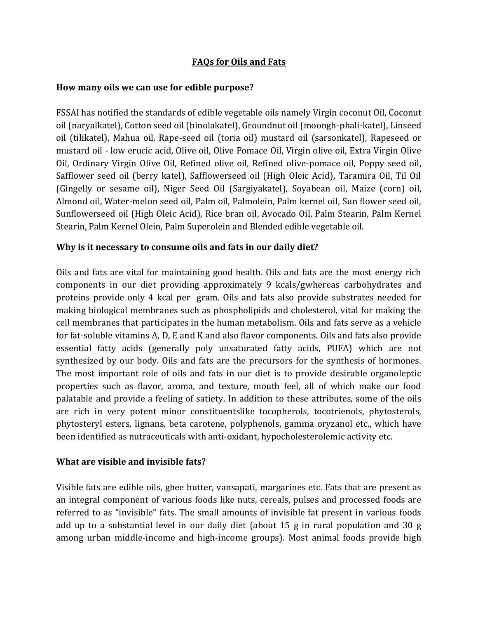# **FAQs for Oils and Fats**

#### **How many oils we can use for edible purpose?**

FSSAI has notified the standards of edible vegetable oils namely Virgin coconut Oil, Coconut oil (naryalkatel), Cotton seed oil (binolakatel), Groundnut oil (moongh-phali-katel), Linseed oil (tilikatel), Mahua oil, Rape-seed oil (toria oil) mustard oil (sarsonkatel), Rapeseed or mustard oil - low erucic acid, Olive oil, Olive Pomace Oil, Virgin olive oil, Extra Virgin Olive Oil, Ordinary Virgin Olive Oil, Refined olive oil, Refined olive-pomace oil, Poppy seed oil, Safflower seed oil (berry katel), Safflowerseed oil (High Oleic Acid), Taramira Oil, Til Oil (Gingelly or sesame oil), Niger Seed Oil (Sargiyakatel), Soyabean oil, Maize (corn) oil, Almond oil, Water-melon seed oil, Palm oil, Palmolein, Palm kernel oil, Sun flower seed oil, Sunflowerseed oil (High Oleic Acid), Rice bran oil, Avocado Oil, Palm Stearin, Palm Kernel Stearin, Palm Kernel Olein, Palm Superolein and Blended edible vegetable oil.

## **Why is it necessary to consume oils and fats in our daily diet?**

Oils and fats are vital for maintaining good health. Oils and fats are the most energy rich components in our diet providing approximately 9 kcals/gwhereas carbohydrates and proteins provide only 4 kcal per gram. Oils and fats also provide substrates needed for making biological membranes such as phospholipids and cholesterol, vital for making the cell membranes that participates in the human metabolism. Oils and fats serve as a vehicle for fat-soluble vitamins A, D, E and K and also flavor components. Oils and fats also provide essential fatty acids (generally poly unsaturated fatty acids, PUFA) which are not synthesized by our body. Oils and fats are the precursors for the synthesis of hormones. The most important role of oils and fats in our diet is to provide desirable organoleptic properties such as flavor, aroma, and texture, mouth feel, all of which make our food palatable and provide a feeling of satiety. In addition to these attributes, some of the oils are rich in very potent minor constituentslike tocopherols, tocotrienols, phytosterols, phytosteryl esters, lignans, beta carotene, polyphenols, gamma oryzanol etc., which have been identified as nutraceuticals with anti-oxidant, hypocholesterolemic activity etc.

#### **What are visible and invisible fats?**

Visible fats are edible oils, ghee butter, vansapati, margarines etc. Fats that are present as an integral component of various foods like nuts, cereals, pulses and processed foods are referred to as "invisible" fats. The small amounts of invisible fat present in various foods add up to a substantial level in our daily diet (about 15 g in rural population and 30 g among urban middle-income and high-income groups). Most animal foods provide high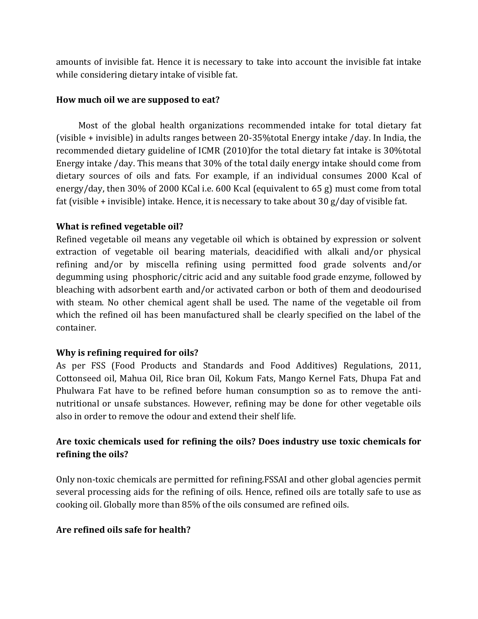amounts of invisible fat. Hence it is necessary to take into account the invisible fat intake while considering dietary intake of visible fat.

## **How much oil we are supposed to eat?**

Most of the global health organizations recommended intake for total dietary fat (visible + invisible) in adults ranges between 20-35%total Energy intake /day. In India, the recommended dietary guideline of ICMR (2010)for the total dietary fat intake is 30%total Energy intake /day. This means that 30% of the total daily energy intake should come from dietary sources of oils and fats. For example, if an individual consumes 2000 Kcal of energy/day, then 30% of 2000 KCal i.e. 600 Kcal (equivalent to 65 g) must come from total fat (visible + invisible) intake. Hence, it is necessary to take about 30 g/day of visible fat.

## **What is refined vegetable oil?**

Refined vegetable oil means any vegetable oil which is obtained by expression or solvent extraction of vegetable oil bearing materials, deacidified with alkali and/or physical refining and/or by miscella refining using permitted food grade solvents and/or degumming using phosphoric/citric acid and any suitable food grade enzyme, followed by bleaching with adsorbent earth and/or activated carbon or both of them and deodourised with steam. No other chemical agent shall be used. The name of the vegetable oil from which the refined oil has been manufactured shall be clearly specified on the label of the container.

## **Why is refining required for oils?**

As per FSS (Food Products and Standards and Food Additives) Regulations, 2011, Cottonseed oil, Mahua Oil, Rice bran Oil, Kokum Fats, Mango Kernel Fats, Dhupa Fat and Phulwara Fat have to be refined before human consumption so as to remove the antinutritional or unsafe substances. However, refining may be done for other vegetable oils also in order to remove the odour and extend their shelf life.

# **Are toxic chemicals used for refining the oils? Does industry use toxic chemicals for refining the oils?**

Only non-toxic chemicals are permitted for refining.FSSAI and other global agencies permit several processing aids for the refining of oils. Hence, refined oils are totally safe to use as cooking oil. Globally more than 85% of the oils consumed are refined oils.

#### **Are refined oils safe for health?**